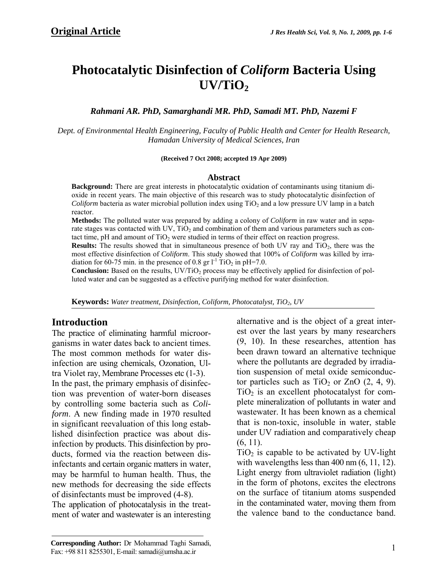# **Photocatalytic Disinfection of** *Coliform* **Bacteria Using UV/TiO2**

*Rahmani AR. PhD, Samarghandi MR. PhD, Samadi MT. PhD, Nazemi F* 

*Dept. of Environmental Health Engineering, Faculty of Public Health and Center for Health Research, Hamadan University of Medical Sciences, Iran* 

#### **(Received 7 Oct 2008; accepted 19 Apr 2009)**

#### **Abstract**

**Background:** There are great interests in photocatalytic oxidation of contaminants using titanium dioxide in recent years. The main objective of this research was to study photocatalytic disinfection of *Coliform* bacteria as water microbial pollution index using  $TiO<sub>2</sub>$  and a low pressure UV lamp in a batch reactor.

**Methods:** The polluted water was prepared by adding a colony of *Coliform* in raw water and in separate stages was contacted with UV,  $TiO<sub>2</sub>$  and combination of them and various parameters such as contact time, pH and amount of  $TiO<sub>2</sub>$  were studied in terms of their effect on reaction progress.

**Results:** The results showed that in simultaneous presence of both UV ray and TiO<sub>2</sub>, there was the most effective disinfection of *Coliform*. This study showed that 100% of *Coliform* was killed by irradiation for 60-75 min. in the presence of 0.8 gr  $1^{\text{-}1}$  TiO<sub>2</sub> in pH=7.0.

**Conclusion:** Based on the results, UV/TiO<sub>2</sub> process may be effectively applied for disinfection of polluted water and can be suggested as a effective purifying method for water disinfection.

Keywords: Water treatment, Disinfection, Coliform, Photocatalyst, TiO<sub>2</sub>, UV

# **Introduction**

The practice of eliminating harmful microorganisms in water dates back to ancient times. The most common methods for water disinfection are using chemicals, Ozonation, Ultra Violet ray, Membrane Processes etc (1-3). In the past, the primary emphasis of disinfection was prevention of water-born diseases by controlling some bacteria such as *Coliform*. A new finding made in 1970 resulted in significant reevaluation of this long established disinfection practice was about disinfection by products. This disinfection by products, formed via the reaction between disinfectants and certain organic matters in water, may be harmful to human health. Thus, the new methods for decreasing the side effects of disinfectants must be improved (4-8).

The application of photocatalysis in the treatment of water and wastewater is an interesting

alternative and is the object of a great interest over the last years by many researchers (9, 10). In these researches, attention has been drawn toward an alternative technique where the pollutants are degraded by irradiation suspension of metal oxide semiconductor particles such as  $TiO<sub>2</sub>$  or ZnO  $(2, 4, 9)$ .  $TiO<sub>2</sub>$  is an excellent photocatalyst for complete mineralization of pollutants in water and wastewater. It has been known as a chemical that is non-toxic, insoluble in water, stable under UV radiation and comparatively cheap (6, 11).

 $TiO<sub>2</sub>$  is capable to be activated by UV-light with wavelengths less than 400 nm  $(6, 11, 12)$ . Light energy from ultraviolet radiation (light) in the form of photons, excites the electrons on the surface of titanium atoms suspended in the contaminated water, moving them from the valence band to the conductance band.

**Corresponding Author:** Dr Mohammad Taghi Samadi, Fax: +98 811 8255301, E-mail: samadi@umsha.ac.ir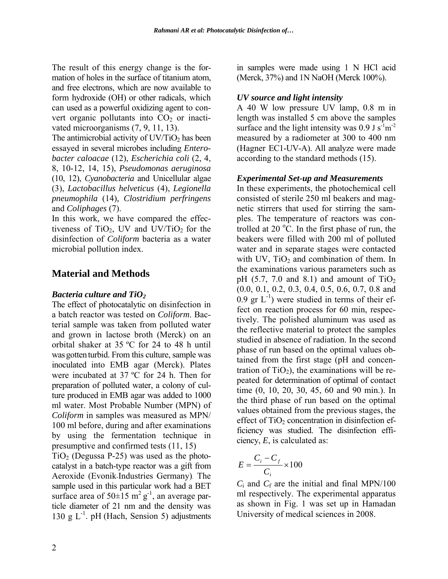The result of this energy change is the formation of holes in the surface of titanium atom, and free electrons, which are now available to form hydroxide (OH) or other radicals, which can used as a powerful oxidizing agent to convert organic pollutants into  $CO<sub>2</sub>$  or inactivated microorganisms (7, 9, 11, 13).

The antimicrobial activity of  $UV/TiO<sub>2</sub>$  has been essayed in several microbes including *Enterobacter caloacae* (12), *Escherichia coli* (2, 4, 8, 10-12, 14, 15), *Pseudomonas aeruginosa* (10, 12), *Cyanobacteria* and Unicellular algae (3), *Lactobacillus helveticus* (4), *Legionella pneumophila* (14)*, Clostridium perfringens* and *Coliphages* (7).

In this work, we have compared the effectiveness of  $TiO<sub>2</sub>$ , UV and UV/TiO<sub>2</sub> for the disinfection of *Coliform* bacteria as a water microbial pollution index.

# **Material and Methods**

## *Bacteria culture and TiO2*

The effect of photocatalytic on disinfection in a batch reactor was tested on *Coliform*. Bacterial sample was taken from polluted water and grown in lactose broth (Merck) on an orbital shaker at 35 ºC for 24 to 48 h until was gotten turbid. From this culture, sample was inoculated into EMB agar (Merck). Plates were incubated at 37 ºC for 24 h. Then for preparation of polluted water, a colony of culture produced in EMB agar was added to 1000 ml water. Most Probable Number (MPN) of *Coliform* in samples was measured as MPN/ 100 ml before, during and after examinations by using the fermentation technique in presumptive and confirmed tests (11, 15)

 $TiO<sub>2</sub>$  (Degussa P-25) was used as the photocatalyst in a batch-type reactor was a gift from Aeroxide (Evonik-Industries Germany). The sample used in this particular work had a BET surface area of  $50\pm 15$  m<sup>2</sup> g<sup>-1</sup>, an average particle diameter of 21 nm and the density was 130 g  $L^{-1}$ . pH (Hach, Sension 5) adjustments in samples were made using 1 N HCl acid (Merck, 37%) and 1N NaOH (Merck 100%).

## *UV source and light intensity*

A 40 W low pressure UV lamp, 0.8 m in length was installed 5 cm above the samples surface and the light intensity was  $0.9 \text{ J s}^{-1} \text{m}^{-2}$ measured by a radiometer at 300 to 400 nm (Hagner EC1-UV-A). All analyze were made according to the standard methods (15).

## *Experimental Set-up and Measurements*

In these experiments, the photochemical cell consisted of sterile 250 ml beakers and magnetic stirrers that used for stirring the samples. The temperature of reactors was controlled at 20 $\degree$ C. In the first phase of run, the beakers were filled with 200 ml of polluted water and in separate stages were contacted with UV,  $TiO<sub>2</sub>$  and combination of them. In the examinations various parameters such as pH  $(5.7, 7.0$  and  $8.1)$  and amount of TiO<sub>2</sub> (0.0, 0.1, 0.2, 0.3, 0.4, 0.5, 0.6, 0.7, 0.8 and  $0.9$  gr L<sup>-1</sup>) were studied in terms of their effect on reaction process for 60 min, respectively. The polished aluminum was used as the reflective material to protect the samples studied in absence of radiation. In the second phase of run based on the optimal values obtained from the first stage (pH and concentration of  $TiO<sub>2</sub>$ ), the examinations will be repeated for determination of optimal of contact time (0, 10, 20, 30, 45, 60 and 90 min.). In the third phase of run based on the optimal values obtained from the previous stages, the effect of  $TiO<sub>2</sub>$  concentration in disinfection efficiency was studied. The disinfection efficiency, *E*, is calculated as:

$$
E = \frac{C_i - C_f}{C_i} \times 100
$$

 $C_i$  and  $C_f$  are the initial and final MPN/100 ml respectively. The experimental apparatus as shown in Fig. 1 was set up in Hamadan University of medical sciences in 2008.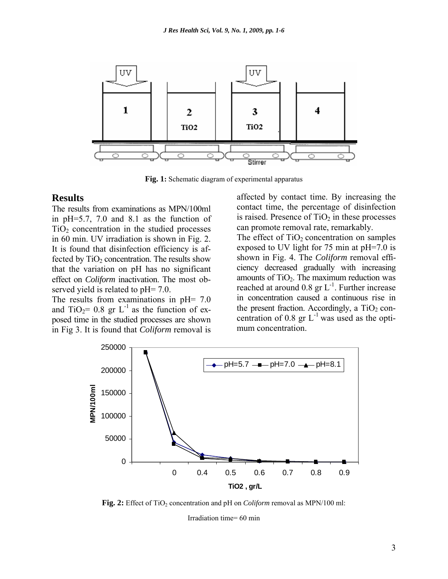

**Fig. 1:** Schematic diagram of experimental apparatus

### **Results**

The results from examinations as MPN/100ml in pH=5.7, 7.0 and 8.1 as the function of  $TiO<sub>2</sub>$  concentration in the studied processes in 60 min. UV irradiation is shown in Fig. 2. It is found that disinfection efficiency is affected by  $TiO<sub>2</sub>$  concentration. The results show that the variation on pH has no significant effect on *Coliform* inactivation. The most observed yield is related to pH= 7.0.

The results from examinations in pH= 7.0 and TiO<sub>2</sub>= 0.8 gr L<sup>-1</sup> as the function of exposed time in the studied processes are shown in Fig 3. It is found that *Coliform* removal is

affected by contact time. By increasing the contact time, the percentage of disinfection is raised. Presence of  $TiO<sub>2</sub>$  in these processes can promote removal rate, remarkably.

The effect of  $TiO<sub>2</sub>$  concentration on samples exposed to UV light for 75 min at pH=7.0 is shown in Fig. 4. The *Coliform* removal efficiency decreased gradually with increasing amounts of  $TiO<sub>2</sub>$ . The maximum reduction was reached at around 0.8 gr  $L^{-1}$ . Further increase in concentration caused a continuous rise in the present fraction. Accordingly, a  $TiO<sub>2</sub>$  concentration of 0.8 gr  $L^{-1}$  was used as the optimum concentration.



**Fig. 2:** Effect of TiO<sub>2</sub> concentration and pH on *Coliform* removal as MPN/100 ml:

Irradiation time= 60 min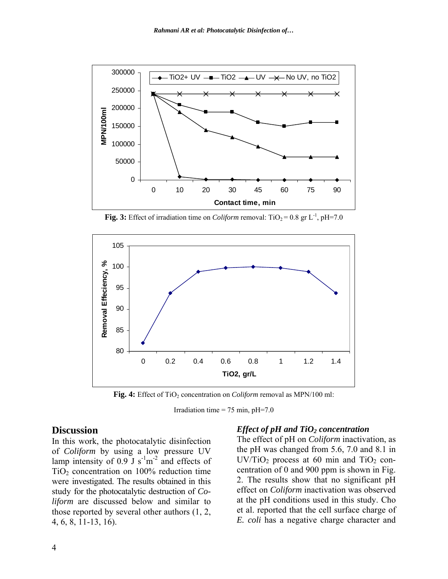

**Fig. 3:** Effect of irradiation time on *Coliform* removal:  $TiO_2 = 0.8$  gr L<sup>-1</sup>, pH=7.0



Fig. 4: Effect of TiO<sub>2</sub> concentration on *Coliform* removal as MPN/100 ml:

Irradiation time =  $75$  min, pH= $7.0$ 

## **Discussion**

In this work, the photocatalytic disinfection of *Coliform* by using a low pressure UV lamp intensity of  $0.9$  J s<sup>-1</sup>m<sup>-2</sup> and effects of  $TiO<sub>2</sub>$  concentration on 100% reduction time were investigated. The results obtained in this study for the photocatalytic destruction of *Coliform* are discussed below and similar to those reported by several other authors (1, 2, 4, 6, 8, 11-13, 16).

#### *Effect of pH and TiO<sub>2</sub> concentration*

The effect of pH on *Coliform* inactivation, as the pH was changed from 5.6, 7.0 and 8.1 in  $UV/TiO<sub>2</sub>$  process at 60 min and  $TiO<sub>2</sub>$  concentration of 0 and 900 ppm is shown in Fig. 2. The results show that no significant pH effect on *Coliform* inactivation was observed at the pH conditions used in this study. Cho et al. reported that the cell surface charge of *E. coli* has a negative charge character and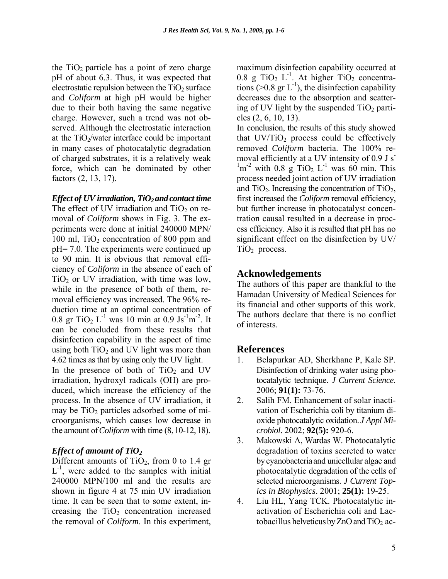the  $TiO<sub>2</sub>$  particle has a point of zero charge pH of about 6.3. Thus, it was expected that electrostatic repulsion between the  $TiO<sub>2</sub>$  surface and *Coliform* at high pH would be higher due to their both having the same negative charge. However, such a trend was not observed. Although the electrostatic interaction at the  $TiO<sub>2</sub>/water$  interface could be important in many cases of photocatalytic degradation of charged substrates, it is a relatively weak force, which can be dominated by other factors (2, 13, 17).

### *Effect of UV irradiation, TiO<sub>2</sub> and contact time*

The effect of UV irradiation and  $TiO<sub>2</sub>$  on removal of *Coliform* shows in Fig. 3. The experiments were done at initial 240000 MPN/ 100 ml,  $TiO<sub>2</sub>$  concentration of 800 ppm and pH= 7.0. The experiments were continued up to 90 min. It is obvious that removal efficiency of *Coliform* in the absence of each of  $TiO<sub>2</sub>$  or UV irradiation, with time was low, while in the presence of both of them, removal efficiency was increased. The 96% reduction time at an optimal concentration of 0.8 gr TiO<sub>2</sub> L<sup>-1</sup> was 10 min at 0.9 Js<sup>-1</sup>m<sup>-2</sup>. It can be concluded from these results that disinfection capability in the aspect of time using both  $TiO<sub>2</sub>$  and UV light was more than 4.62 times as that by using only the UV light. In the presence of both of  $TiO<sub>2</sub>$  and UV irradiation, hydroxyl radicals (OH) are produced, which increase the efficiency of the process. In the absence of UV irradiation, it may be  $TiO<sub>2</sub>$  particles adsorbed some of microorganisms, which causes low decrease in the amount of*Coliform* with time (8,10-12,18).

## *Effect of amount of TiO<sub>2</sub>*

Different amounts of  $TiO<sub>2</sub>$ , from 0 to 1.4 gr  $L^{-1}$ , were added to the samples with initial 240000 MPN/100 ml and the results are shown in figure 4 at 75 min UV irradiation time. It can be seen that to some extent, increasing the  $TiO<sub>2</sub>$  concentration increased the removal of *Coliform*. In this experiment,

maximum disinfection capability occurred at 0.8 g TiO<sub>2</sub> L<sup>-1</sup>. At higher TiO<sub>2</sub> concentrations (>0.8 gr  $L^{-1}$ ), the disinfection capability decreases due to the absorption and scattering of UV light by the suspended  $TiO<sub>2</sub>$  particles (2, 6, 10, 13).

In conclusion, the results of this study showed that  $UV/TiO<sub>2</sub>$  process could be effectively removed *Coliform* bacteria. The 100% removal efficiently at a UV intensity of 0.9 J s<sup>-</sup>  $\rm{^1m^2}$  with 0.8 g TiO<sub>2</sub> L<sup>-1</sup> was 60 min. This process needed joint action of UV irradiation and  $TiO<sub>2</sub>$ . Increasing the concentration of  $TiO<sub>2</sub>$ , first increased the *Coliform* removal efficiency, but further increase in photocatalyst concentration causal resulted in a decrease in process efficiency. Also it is resulted that pH has no significant effect on the disinfection by UV/  $TiO<sub>2</sub>$  process.

# **Acknowledgements**

The authors of this paper are thankful to the Hamadan University of Medical Sciences for its financial and other supports of this work. The authors declare that there is no conflict of interests.

# **References**

- 1. Belapurkar AD, Sherkhane P, Kale SP. Disinfection of drinking water using photocatalytic technique. *J Current Science*. 2006; **91(1):** 73-76.
- 2. Salih FM. Enhancement of solar inactivation of Escherichia coli by titanium dioxide photocatalytic oxidation. *J Appl Microbiol*. 2002; **92(5):** 920-6.
- 3. Makowski A, Wardas W. Photocatalytic degradation of toxins secreted to water by cyanobacteria and unicellular algae and photocatalytic degradation of the cells of selected microorganisms. *J Current Topics in Biophysics*. 2001; **25(1):** 19-25.
- 4. Liu HL, Yang TCK. Photocatalytic inactivation of Escherichia coli and Lactobacillus helveticus by  $ZnO$  and  $TiO<sub>2</sub>$  ac-